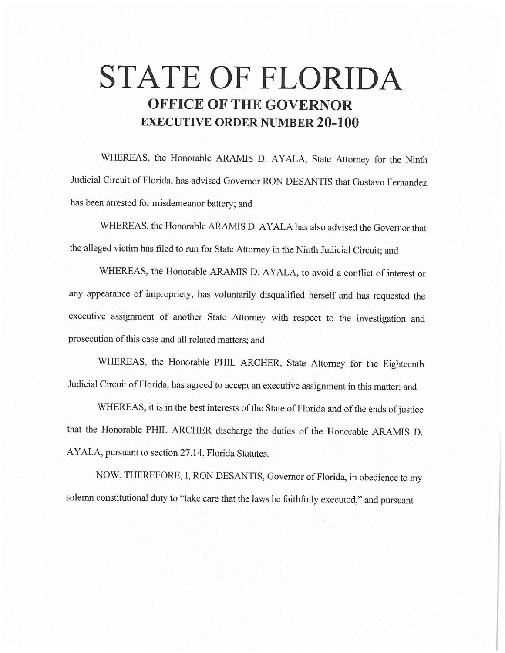## **STATE OF FLORIDA OFFICE OF THE GOVERNOR EXECUTIVE ORDER NUMBER 20-100**

WHEREAS, the Honorable ARAMIS D. AYALA, State Attorney for the Ninth Judicial Circuit of Florida, has advised Governor RON DESANTIS that Gustavo Fernandez has been arrested for misdemeanor battery; and

WHEREAS, the Honorable ARAMIS D. AYALA has also advised the Governor that the alleged victim has filed to run for State Attorney in the Ninth Judicial Circuit; and

WHEREAS, the Honorable ARAMIS D. AYALA, to avoid a conflict of interest or any appearance of impropriety, has voluntarily disqualified herself and has requested the executive assignment of another State Attorney with respect to the investigation and prosecution of this case and all related matters; and

WHEREAS, the Honorable PHIL ARCHER, State Attorney for the Eighteenth Judicial Circuit of Florida, has agreed to accept an executive assignment in this matter; and

WHEREAS, it is in the best interests of the State of Florida and of the ends of justice that the Honorable PHIL ARCHER discharge the duties of the Honorable ARAMIS D. AYALA, pursuant to section 27 .14, Florida Statutes.

NOW, THEREFORE, I, RON DESANTIS, Governor of Florida, in obedience to my solemn constitutional duty to "take care that the laws be faithfully executed," and pursuant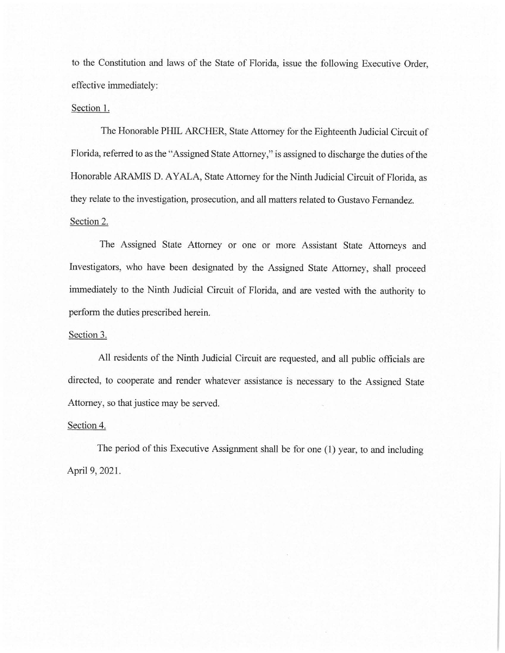to the Constitution and laws of the State of Florida, issue the following Executive Order, effective immediately:

## Section 1.

The Honorable PHIL ARCHER, State Attorney for the Eighteenth Judicial Circuit of Florida, referred to as the "Assigned State Attorney," is assigned to discharge the duties of the Honorable ARAMIS D. AYALA, State Attorney for the Ninth Judicial Circuit of Florida, as they relate to the investigation, prosecution, and all matters related to Gustavo Fernandez. Section 2.

The Assigned State Attorney or one or more Assistant State Attorneys and Investigators, who have been designated by the Assigned State Attorney, shall proceed immediately to the Ninth Judicial Circuit of Florida, and are vested with the authority to perform the duties prescribed herein.

## Section 3.

All residents of the Ninth Judicial Circuit are requested, and all public officials are directed, to cooperate and render whatever assistance is necessary to the Assigned State Attorney, so that justice may be served.

## Section 4.

The period of this Executive Assignment shall be for one (1) year, to and including April 9, 2021.